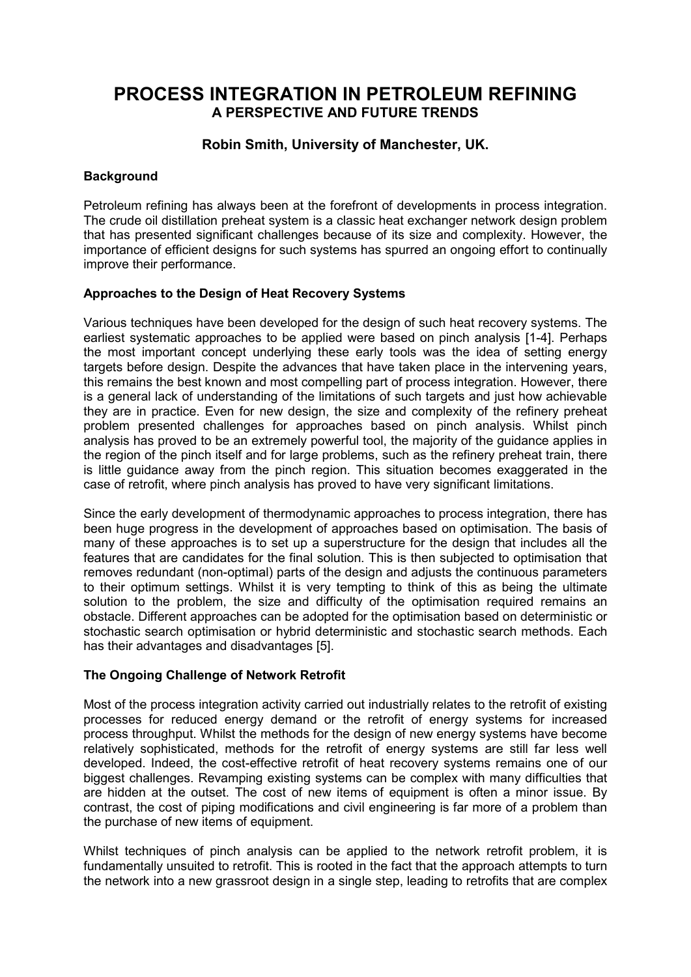# **PROCESS INTEGRATION IN PETROLEUM REFINING A PERSPECTIVE AND FUTURE TRENDS**

## **Robin Smith, University of Manchester, UK.**

#### **Background**

Petroleum refining has always been at the forefront of developments in process integration. The crude oil distillation preheat system is a classic heat exchanger network design problem that has presented significant challenges because of its size and complexity. However, the importance of efficient designs for such systems has spurred an ongoing effort to continually improve their performance.

#### **Approaches to the Design of Heat Recovery Systems**

Various techniques have been developed for the design of such heat recovery systems. The earliest systematic approaches to be applied were based on pinch analysis [1-4]. Perhaps the most important concept underlying these early tools was the idea of setting energy targets before design. Despite the advances that have taken place in the intervening years, this remains the best known and most compelling part of process integration. However, there is a general lack of understanding of the limitations of such targets and just how achievable they are in practice. Even for new design, the size and complexity of the refinery preheat problem presented challenges for approaches based on pinch analysis. Whilst pinch analysis has proved to be an extremely powerful tool, the majority of the guidance applies in the region of the pinch itself and for large problems, such as the refinery preheat train, there is little guidance away from the pinch region. This situation becomes exaggerated in the case of retrofit, where pinch analysis has proved to have very significant limitations.

Since the early development of thermodynamic approaches to process integration, there has been huge progress in the development of approaches based on optimisation. The basis of many of these approaches is to set up a superstructure for the design that includes all the features that are candidates for the final solution. This is then subjected to optimisation that removes redundant (non-optimal) parts of the design and adjusts the continuous parameters to their optimum settings. Whilst it is very tempting to think of this as being the ultimate solution to the problem, the size and difficulty of the optimisation required remains an obstacle. Different approaches can be adopted for the optimisation based on deterministic or stochastic search optimisation or hybrid deterministic and stochastic search methods. Each has their advantages and disadvantages [5].

#### **The Ongoing Challenge of Network Retrofit**

Most of the process integration activity carried out industrially relates to the retrofit of existing processes for reduced energy demand or the retrofit of energy systems for increased process throughput. Whilst the methods for the design of new energy systems have become relatively sophisticated, methods for the retrofit of energy systems are still far less well developed. Indeed, the cost-effective retrofit of heat recovery systems remains one of our biggest challenges. Revamping existing systems can be complex with many difficulties that are hidden at the outset. The cost of new items of equipment is often a minor issue. By contrast, the cost of piping modifications and civil engineering is far more of a problem than the purchase of new items of equipment.

Whilst techniques of pinch analysis can be applied to the network retrofit problem, it is fundamentally unsuited to retrofit. This is rooted in the fact that the approach attempts to turn the network into a new grassroot design in a single step, leading to retrofits that are complex